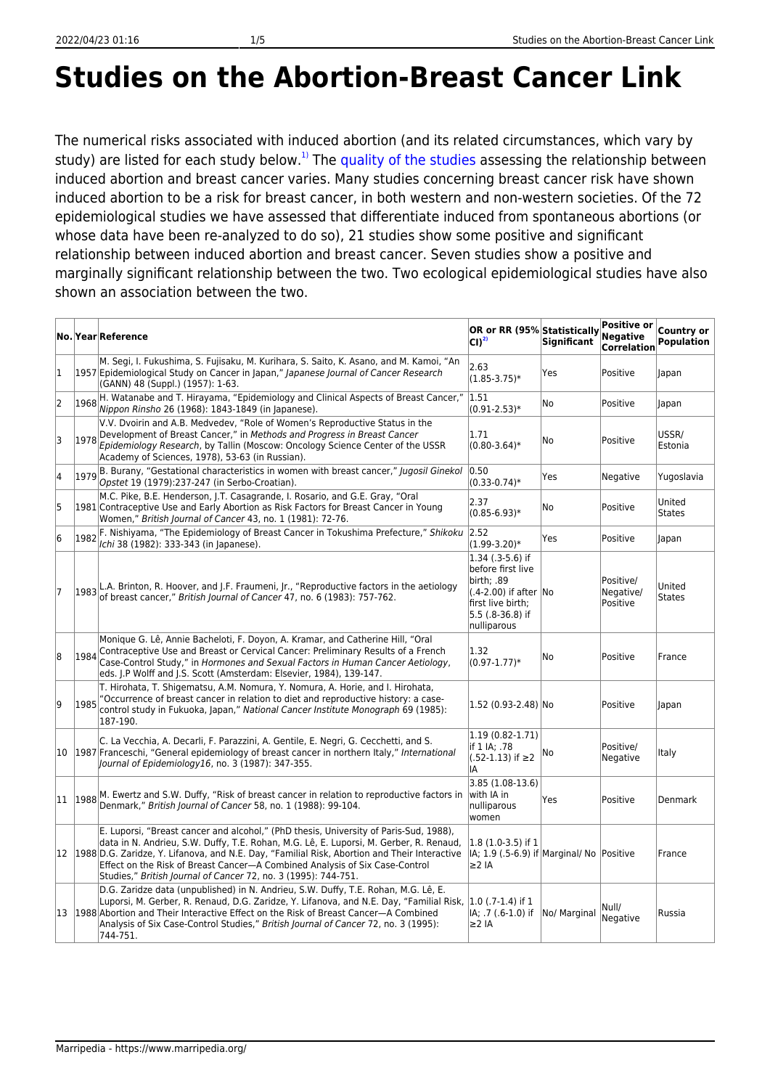## **Studies on the Abortion-Breast Cancer Link**

The numerical risks associated with induced abortion (and its related circumstances, which vary by study) are listed for each study below.<sup>[1\)](#page--1-0)</sup> The [quality of the studies](https://www.marripedia.org/common_problems_in_abortion-breast_cancer_studies) assessing the relationship between induced abortion and breast cancer varies. Many studies concerning breast cancer risk have shown induced abortion to be a risk for breast cancer, in both western and non-western societies. Of the 72 epidemiological studies we have assessed that differentiate induced from spontaneous abortions (or whose data have been re-analyzed to do so), 21 studies show some positive and significant relationship between induced abortion and breast cancer. Seven studies show a positive and marginally significant relationship between the two. Two ecological epidemiological studies have also shown an association between the two.

|    |      | No. Year Reference                                                                                                                                                                                                                                                                                                                                                                                                                  | OR or RR (95% Statistically<br>CD <sup>2</sup>                                                                                          | <b>Significant</b> | <b>Positive or</b><br><b>Negative</b><br><b>Correlation</b> | Country or<br><b>Population</b> |
|----|------|-------------------------------------------------------------------------------------------------------------------------------------------------------------------------------------------------------------------------------------------------------------------------------------------------------------------------------------------------------------------------------------------------------------------------------------|-----------------------------------------------------------------------------------------------------------------------------------------|--------------------|-------------------------------------------------------------|---------------------------------|
| 1  |      | M. Segi, I. Fukushima, S. Fujisaku, M. Kurihara, S. Saito, K. Asano, and M. Kamoi, "An<br>1957 Epidemiological Study on Cancer in Japan," Japanese Journal of Cancer Research<br>(GANN) 48 (Suppl.) (1957): 1-63.                                                                                                                                                                                                                   | 2.63<br>$(1.85 - 3.75)^*$                                                                                                               | Yes                | Positive                                                    | Japan                           |
| 2  | 1968 | H. Watanabe and T. Hirayama, "Epidemiology and Clinical Aspects of Breast Cancer,"<br>Nippon Rinsho 26 (1968): 1843-1849 (in Japanese).                                                                                                                                                                                                                                                                                             | 1.51 <br>$(0.91 - 2.53)*$                                                                                                               | No                 | Positive                                                    | lapan                           |
| 3  | 1978 | V.V. Dvoirin and A.B. Medvedev, "Role of Women's Reproductive Status in the<br>Development of Breast Cancer," in Methods and Progress in Breast Cancer<br>Epidemiology Research, by Tallin (Moscow: Oncology Science Center of the USSR<br>Academy of Sciences, 1978), 53-63 (in Russian).                                                                                                                                          | 1.71<br>$(0.80 - 3.64)$ *                                                                                                               | No                 | Positive                                                    | USSR/<br>Estonia                |
| 4  |      | B. Burany, "Gestational characteristics in women with breast cancer," Jugosil Ginekol<br>Opstet 19 (1979):237-247 (in Serbo-Croatian).                                                                                                                                                                                                                                                                                              | 0.50<br>$(0.33 - 0.74)$ *                                                                                                               | Yes                | Negative                                                    | Yugoslavia                      |
| 5  |      | M.C. Pike, B.E. Henderson, J.T. Casagrande, I. Rosario, and G.E. Gray, "Oral<br>1981 Contraceptive Use and Early Abortion as Risk Factors for Breast Cancer in Young<br>Women," British Journal of Cancer 43, no. 1 (1981): 72-76.                                                                                                                                                                                                  | 2.37<br>$(0.85 - 6.93)^*$                                                                                                               | No                 | Positive                                                    | United<br><b>States</b>         |
| 6  |      | [1982] F. Nishiyama, "The Epidemiology of Breast Cancer in Tokushima Prefecture," Shikoku<br>Ichi 38 (1982): 333-343 (in Japanese).                                                                                                                                                                                                                                                                                                 | 2.52 <br>$(1.99 - 3.20)$ *                                                                                                              | Yes                | Positive                                                    | Japan                           |
| 7  |      | $\vert_{1983}\vert$ L.A. Brinton, R. Hoover, and J.F. Fraumeni, Jr., "Reproductive factors in the aetiology<br>of breast cancer," British Journal of Cancer 47, no. 6 (1983): 757-762.                                                                                                                                                                                                                                              | $ 1.34$ (.3-5.6) if<br>before first live<br>birth: .89<br>(.4-2.00) if after No<br>first live birth;<br>5.5 (.8-36.8) if<br>nulliparous |                    | Positive/<br>Negative/<br>Positive                          | United<br><b>States</b>         |
| 8  | 1984 | Monique G. Lê, Annie Bacheloti, F. Doyon, A. Kramar, and Catherine Hill, "Oral<br>Contraceptive Use and Breast or Cervical Cancer: Preliminary Results of a French<br>Case-Control Study," in Hormones and Sexual Factors in Human Cancer Aetiology,<br>eds. J.P Wolff and J.S. Scott (Amsterdam: Elsevier, 1984), 139-147.                                                                                                         | 1.32<br>$(0.97 - 1.77)*$                                                                                                                | No                 | Positive                                                    | France                          |
| 9  | 1985 | T. Hirohata, T. Shigematsu, A.M. Nomura, Y. Nomura, A. Horie, and I. Hirohata,<br>"Occurrence of breast cancer in relation to diet and reproductive history: a case-<br>control study in Fukuoka, Japan," National Cancer Institute Monograph 69 (1985):<br>187-190.                                                                                                                                                                | $ 1.52(0.93-2.48) $ No                                                                                                                  |                    | Positive                                                    | <b>Japan</b>                    |
|    |      | C. La Vecchia, A. Decarli, F. Parazzini, A. Gentile, E. Negri, G. Cecchetti, and S.<br>10 1987 Franceschi, "General epidemiology of breast cancer in northern Italy," International<br>Journal of Epidemiology16, no. 3 (1987): 347-355.                                                                                                                                                                                            | $ 1.19(0.82 - 1.71) $<br>if 1 IA; .78<br>$(.52-1.13)$ if ≥2<br>IA                                                                       | No                 | Positive/<br>Negative                                       | Italy                           |
| 11 |      | 1988 M. Ewertz and S.W. Duffy, "Risk of breast cancer in relation to reproductive factors in<br>Denmark," British Journal of Cancer 58, no. 1 (1988): 99-104.                                                                                                                                                                                                                                                                       | $3.85(1.08-13.6)$<br>with IA in<br>nulliparous<br>women                                                                                 | Yes                | Positive                                                    | Denmark                         |
|    |      | E. Luporsi, "Breast cancer and alcohol," (PhD thesis, University of Paris-Sud, 1988),<br>data in N. Andrieu, S.W. Duffy, T.E. Rohan, M.G. Lê, E. Luporsi, M. Gerber, R. Renaud,<br>12 1988 D.G. Zaridze, Y. Lifanova, and N.E. Day, "Familial Risk, Abortion and Their Interactive<br>Effect on the Risk of Breast Cancer-A Combined Analysis of Six Case-Control<br>Studies," British Journal of Cancer 72, no. 3 (1995): 744-751. | $ 1.8(1.0-3.5) $ if 1<br>IA; 1.9 (.5-6.9) if Marginal/ No Positive<br> ≥2 IA                                                            |                    |                                                             | France                          |
| 13 |      | D.G. Zaridze data (unpublished) in N. Andrieu, S.W. Duffy, T.E. Rohan, M.G. Lê, E.<br>Luporsi, M. Gerber, R. Renaud, D.G. Zaridze, Y. Lifanova, and N.E. Day, "Familial Risk, 1.0 (.7-1.4) if 1<br>1988 Abortion and Their Interactive Effect on the Risk of Breast Cancer–A Combined<br>Analysis of Six Case-Control Studies," British Journal of Cancer 72, no. 3 (1995):<br>744-751.                                             | IA; .7 (.6-1.0) if<br>l≥2 IA                                                                                                            | No/ Marginal       | Null/<br>Negative                                           | Russia                          |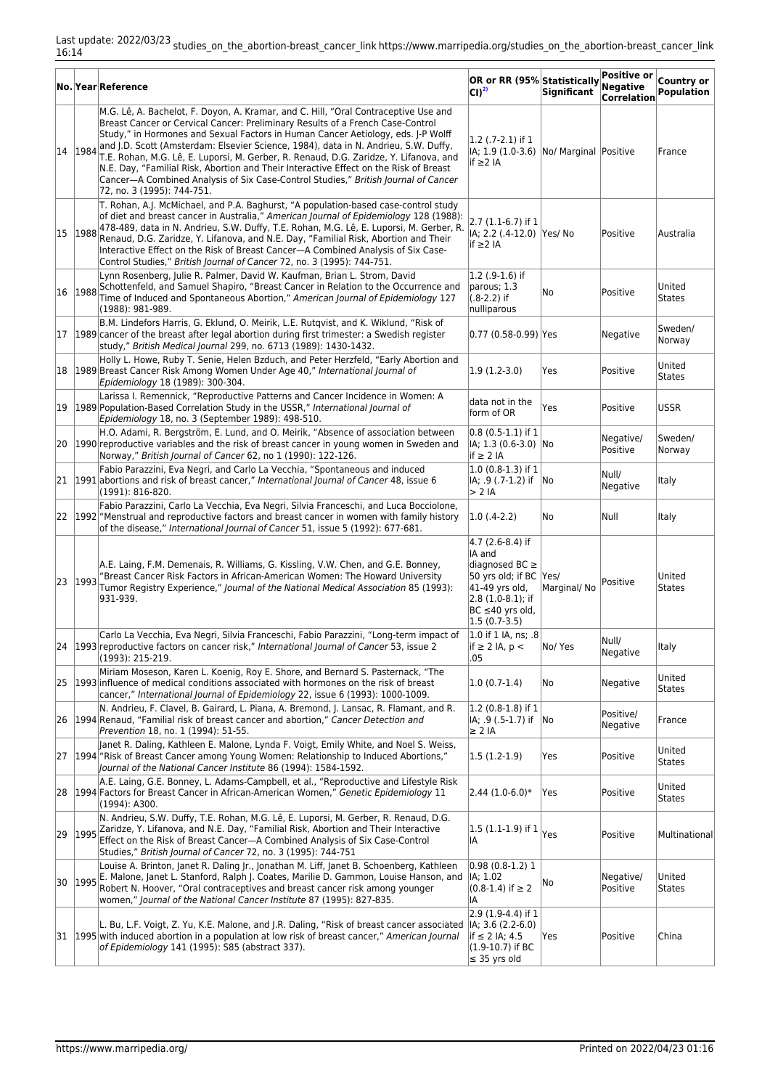|    |         | No. Year Reference                                                                                                                                                                                                                                                                                                                                                                                                                                                                                                                                                                                                                                     | OR or RR (95% Statistically<br>CD <sup>2</sup>                                                                                                                | <b>Significant</b> | Positive or<br>Negative<br><b>Correlation</b> | Country or<br><b>Population</b> |
|----|---------|--------------------------------------------------------------------------------------------------------------------------------------------------------------------------------------------------------------------------------------------------------------------------------------------------------------------------------------------------------------------------------------------------------------------------------------------------------------------------------------------------------------------------------------------------------------------------------------------------------------------------------------------------------|---------------------------------------------------------------------------------------------------------------------------------------------------------------|--------------------|-----------------------------------------------|---------------------------------|
|    | 14 1984 | M.G. Lê, A. Bachelot, F. Doyon, A. Kramar, and C. Hill, "Oral Contraceptive Use and<br>Breast Cancer or Cervical Cancer: Preliminary Results of a French Case-Control<br>Study," in Hormones and Sexual Factors in Human Cancer Aetiology, eds. J-P Wolff<br>and J.D. Scott (Amsterdam: Elsevier Science, 1984), data in N. Andrieu, S.W. Duffy,<br>T.E. Rohan, M.G. Lê, E. Luporsi, M. Gerber, R. Renaud, D.G. Zaridze, Y. Lifanova, and<br>N.E. Day, "Familial Risk, Abortion and Their Interactive Effect on the Risk of Breast<br>Cancer-A Combined Analysis of Six Case-Control Studies," British Journal of Cancer<br>72, no. 3 (1995): 744-751. | $1.2$ (.7-2.1) if 1<br>IA; 1.9 (1.0-3.6) No/ Marginal Positive<br>if ≥ 2 IA                                                                                   |                    |                                               | France                          |
|    |         | T. Rohan, A.J. McMichael, and P.A. Baghurst, "A population-based case-control study<br>of diet and breast cancer in Australia," American Journal of Epidemiology 128 (1988):<br>15 1988 478-489, data in N. Andrieu, S.W. Duffy, T.E. Rohan, M.G. Lê, E. Luporsi, M. Gerber, R.<br>Renaud, D.G. Zaridze, Y. Lifanova, and N.E. Day, "Familial Risk, Abortion and Their<br>Interactive Effect on the Risk of Breast Cancer-A Combined Analysis of Six Case-<br>Control Studies," British Journal of Cancer 72, no. 3 (1995): 744-751.                                                                                                                   | 2.7 (1.1-6.7) if 1<br> IA; 2.2 (.4-12.0)   Yes/ No<br>if ≥ 2 IA                                                                                               |                    | Positive                                      | Australia                       |
|    | 16 1988 | Lynn Rosenberg, Julie R. Palmer, David W. Kaufman, Brian L. Strom, David<br>Schottenfeld, and Samuel Shapiro, "Breast Cancer in Relation to the Occurrence and<br>Time of Induced and Spontaneous Abortion," American Journal of Epidemiology 127<br>(1988): 981-989.                                                                                                                                                                                                                                                                                                                                                                                  | $1.2$ (.9-1.6) if<br>parous; 1.3<br>$(0.8-2.2)$ if<br>nulliparous                                                                                             | No                 | Positive                                      | United<br><b>States</b>         |
|    |         | B.M. Lindefors Harris, G. Eklund, O. Meirik, L.E. Rutqvist, and K. Wiklund, "Risk of<br>17 1989 cancer of the breast after legal abortion during first trimester: a Swedish register<br>study," British Medical Journal 299, no. 6713 (1989): 1430-1432.                                                                                                                                                                                                                                                                                                                                                                                               | 0.77 (0.58-0.99) Yes                                                                                                                                          |                    | Negative                                      | Sweden/<br>Norway               |
|    |         | Holly L. Howe, Ruby T. Senie, Helen Bzduch, and Peter Herzfeld, "Early Abortion and<br>18 1989 Breast Cancer Risk Among Women Under Age 40," International Journal of<br>Epidemiology 18 (1989): 300-304.                                                                                                                                                                                                                                                                                                                                                                                                                                              | $ 1.9(1.2-3.0) $                                                                                                                                              | Yes                | Positive                                      | United<br><b>States</b>         |
|    |         | Larissa I. Remennick, "Reproductive Patterns and Cancer Incidence in Women: A<br>19 1989 Population-Based Correlation Study in the USSR," International Journal of<br>Epidemiology 18, no. 3 (September 1989): 498-510.                                                                                                                                                                                                                                                                                                                                                                                                                                | data not in the<br>form of OR                                                                                                                                 | Yes                | Positive                                      | <b>USSR</b>                     |
|    |         | H.O. Adami, R. Bergström, E. Lund, and O. Meirik, "Absence of association between<br>20 1990 reproductive variables and the risk of breast cancer in young women in Sweden and<br>Norway," British Journal of Cancer 62, no 1 (1990): 122-126.                                                                                                                                                                                                                                                                                                                                                                                                         | $0.8(0.5-1.1)$ if 1<br> IA; 1.3 (0.6-3.0)  No<br>$if \geq 2 IA$                                                                                               |                    | Negative/<br>Positive                         | Sweden/<br>Norway               |
|    |         | Fabio Parazzini, Eva Negri, and Carlo La Vecchia, "Spontaneous and induced<br>21 1991 abortions and risk of breast cancer," International Journal of Cancer 48, issue 6<br>(1991): 816-820.                                                                                                                                                                                                                                                                                                                                                                                                                                                            | $(1.0 (0.8-1.3))$ if 1<br>IA; .9 (.7-1.2) if No<br>$> 2$ IA                                                                                                   |                    | Null/<br>Negative                             | Italy                           |
|    |         | Fabio Parazzini, Carlo La Vecchia, Eva Negri, Silvia Franceschi, and Luca Bocciolone,<br>22 1992 "Menstrual and reproductive factors and breast cancer in women with family history<br>of the disease," International Journal of Cancer 51, issue 5 (1992): 677-681.                                                                                                                                                                                                                                                                                                                                                                                   | $ 1.0(0.4-2.2) $                                                                                                                                              | lNo                | Null                                          | Italy                           |
| 23 | 1993    | A.E. Laing, F.M. Demenais, R. Williams, G. Kissling, V.W. Chen, and G.E. Bonney,<br>"Breast Cancer Risk Factors in African-American Women: The Howard University<br>Tumor Registry Experience," Journal of the National Medical Association 85 (1993):<br>931-939.                                                                                                                                                                                                                                                                                                                                                                                     | 4.7 (2.6-8.4) if<br>IA and<br>diagnosed BC $\geq$<br>50 yrs old; if BC Yes/<br>41-49 yrs old,<br>$(2.8(1.0-8.1))$ ; if<br>BC ≤40 yrs old,<br>$ 1.5(0.7-3.5) $ | Marginal/No        | Positive                                      | United<br><b>States</b>         |
|    |         | Carlo La Vecchia, Eva Negri, Silvia Franceschi, Fabio Parazzini, "Long-term impact of<br>[24   1993   reproductive factors on cancer risk," International Journal of Cancer 53, issue 2<br>(1993): 215-219.                                                                                                                                                                                                                                                                                                                                                                                                                                            | 1.0 if 1 IA, ns; .8<br>$if \geq 2$ IA, $p <$<br>.05                                                                                                           | No/ Yes            | Null/<br>Negative                             | <b>Italy</b>                    |
|    |         | Miriam Moseson, Karen L. Koenig, Roy E. Shore, and Bernard S. Pasternack, "The<br>[25] [1993] influence of medical conditions associated with hormones on the risk of breast<br>cancer," International Journal of Epidemiology 22, issue 6 (1993): 1000-1009.                                                                                                                                                                                                                                                                                                                                                                                          | $ 1.0(0.7-1.4) $                                                                                                                                              | No                 | Negative                                      | United<br>States                |
|    |         | N. Andrieu, F. Clavel, B. Gairard, L. Piana, A. Bremond, J. Lansac, R. Flamant, and R.<br>26 1994 Renaud, "Familial risk of breast cancer and abortion," Cancer Detection and<br>Prevention 18, no. 1 (1994): 51-55.                                                                                                                                                                                                                                                                                                                                                                                                                                   | $1.2$ (0.8-1.8) if 1<br> IA; .9 (.5-1.7) if  No<br>$\geq$ 2 IA                                                                                                |                    | Positive/<br>Negative                         | France                          |
| 27 |         | Janet R. Daling, Kathleen E. Malone, Lynda F. Voigt, Emily White, and Noel S. Weiss,<br>1994 "Risk of Breast Cancer among Young Women: Relationship to Induced Abortions,"<br>Journal of the National Cancer Institute 86 (1994): 1584-1592.                                                                                                                                                                                                                                                                                                                                                                                                           | 1.5 (1.2-1.9)                                                                                                                                                 | Yes                | Positive                                      | United<br><b>States</b>         |
|    |         | A.E. Laing, G.E. Bonney, L. Adams-Campbell, et al., "Reproductive and Lifestyle Risk<br>28   1994   Factors for Breast Cancer in African-American Women," Genetic Epidemiology 11<br>(1994): A300.                                                                                                                                                                                                                                                                                                                                                                                                                                                     | $ 2.44(1.0-6.0)*$                                                                                                                                             | Yes                | Positive                                      | United<br><b>States</b>         |
| 29 | 1995    | N. Andrieu, S.W. Duffy, T.E. Rohan, M.G. Lê, E. Luporsi, M. Gerber, R. Renaud, D.G.<br>Zaridze, Y. Lifanova, and N.E. Day, "Familial Risk, Abortion and Their Interactive<br>Effect on the Risk of Breast Cancer-A Combined Analysis of Six Case-Control<br>Studies," British Journal of Cancer 72, no. 3 (1995): 744-751                                                                                                                                                                                                                                                                                                                              | $ 1.5(1.1-1.9) $ if $1$<br>IA                                                                                                                                 | Yes                | Positive                                      | Multinational                   |
|    | 30 1995 | Louise A. Brinton, Janet R. Daling Jr., Jonathan M. Liff, Janet B. Schoenberg, Kathleen<br>E. Malone, Janet L. Stanford, Ralph J. Coates, Marilie D. Gammon, Louise Hanson, and<br>Robert N. Hoover, "Oral contraceptives and breast cancer risk among younger<br>women," Journal of the National Cancer Institute 87 (1995): 827-835.                                                                                                                                                                                                                                                                                                                 | $ 0.98(0.8-1.2) 1$<br> IA; 1.02<br>$(0.8-1.4)$ if $\geq 2$<br>IA                                                                                              | ∣No                | Negative/<br>Positive                         | United<br><b>States</b>         |
|    |         | L. Bu, L.F. Voigt, Z. Yu, K.E. Malone, and J.R. Daling, "Risk of breast cancer associated<br>31  1995 with induced abortion in a population at low risk of breast cancer," American Journal<br>of Epidemiology 141 (1995): S85 (abstract 337).                                                                                                                                                                                                                                                                                                                                                                                                         | $ 2.9(1.9-4.4)$ if 1<br>$ IA; 3.6 (2.2-6.0)$<br>if ≤ 2 IA; 4.5<br>$(1.9-10.7)$ if BC<br>$\leq$ 35 yrs old                                                     | Yes                | Positive                                      | China                           |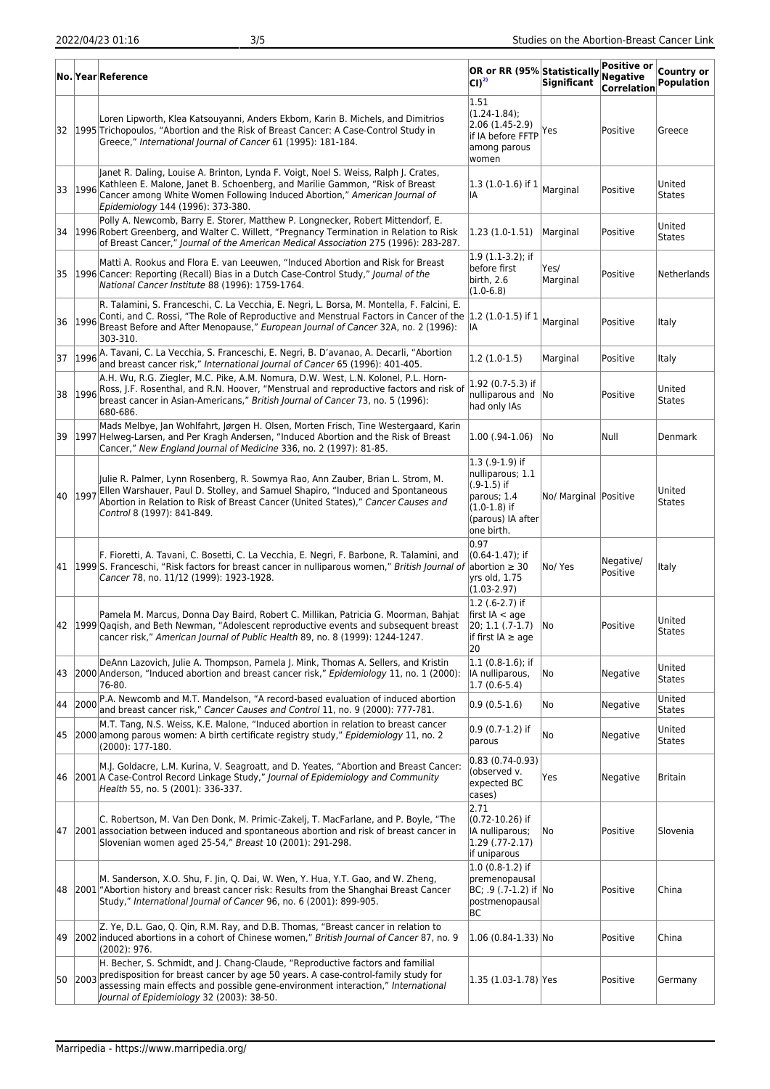|    |         | No. Year Reference                                                                                                                                                                                                                                                                                       | OR or RR (95% Statistically<br>CI) <sup>2)</sup>                                                                         | Significant           | Positive or<br><b>Negative</b><br><b>Correlation</b> | Country or<br>Population |
|----|---------|----------------------------------------------------------------------------------------------------------------------------------------------------------------------------------------------------------------------------------------------------------------------------------------------------------|--------------------------------------------------------------------------------------------------------------------------|-----------------------|------------------------------------------------------|--------------------------|
|    |         | Loren Lipworth, Klea Katsouyanni, Anders Ekbom, Karin B. Michels, and Dimitrios<br>32 1995 Trichopoulos, "Abortion and the Risk of Breast Cancer: A Case-Control Study in<br>Greece," International Journal of Cancer 61 (1995): 181-184.                                                                | 1.51<br>$(1.24 - 1.84);$<br>2.06 (1.45-2.9)<br>if IA before FFTP<br>among parous<br>women                                | Yes                   | Positive                                             | Greece                   |
| 33 | 1996    | Janet R. Daling, Louise A. Brinton, Lynda F. Voigt, Noel S. Weiss, Ralph J. Crates,<br>Kathleen E. Malone, Janet B. Schoenberg, and Marilie Gammon, "Risk of Breast<br>Cancer among White Women Following Induced Abortion," American Journal of<br>Epidemiology 144 (1996): 373-380.                    | 1.3 (1.0-1.6) if 1<br>IA                                                                                                 | Marginal              | Positive                                             | United<br><b>States</b>  |
| 34 |         | Polly A. Newcomb, Barry E. Storer, Matthew P. Longnecker, Robert Mittendorf, E.<br>1996 Robert Greenberg, and Walter C. Willett, "Pregnancy Termination in Relation to Risk<br>of Breast Cancer," Journal of the American Medical Association 275 (1996): 283-287.                                       | $1.23(1.0-1.51)$                                                                                                         | Marginal              | Positive                                             | United<br><b>States</b>  |
|    |         | Matti A. Rookus and Flora E. van Leeuwen, "Induced Abortion and Risk for Breast<br>35   1996 Cancer: Reporting (Recall) Bias in a Dutch Case-Control Study," Journal of the<br>National Cancer Institute 88 (1996): 1759-1764.                                                                           | 1.9 (1.1-3.2); if<br>before first<br>birth, 2.6<br>$(1.0 - 6.8)$                                                         | Yes/<br>Marginal      | Positive                                             | Netherlands              |
| 36 | 1996    | R. Talamini, S. Franceschi, C. La Vecchia, E. Negri, L. Borsa, M. Montella, F. Falcini, E.<br>Conti, and C. Rossi, "The Role of Reproductive and Menstrual Factors in Cancer of the  1.2 (1.0-1.5) if 1<br>Breast Before and After Menopause," European Journal of Cancer 32A, no. 2 (1996):<br>303-310. | IA                                                                                                                       | Marginal              | Positive                                             | Italy                    |
| 37 |         | 1996 A. Tavani, C. La Vecchia, S. Franceschi, E. Negri, B. D'avanao, A. Decarli, "Abortion<br>and breast cancer risk," International Journal of Cancer 65 (1996): 401-405.                                                                                                                               | $1.2(1.0-1.5)$                                                                                                           | Marginal              | Positive                                             | Italy                    |
|    |         | A.H. Wu, R.G. Ziegler, M.C. Pike, A.M. Nomura, D.W. West, L.N. Kolonel, P.L. Horn-<br>38 1996 Ross, J.F. Rosenthal, and R.N. Hoover, "Menstrual and reproductive factors and risk of<br>breast cancer in Asian-Americans," British Journal of Cancer 73, no. 5 (1996):<br>680-686.                       | 1.92 (0.7-5.3) if<br>nulliparous and No<br>had only IAs                                                                  |                       | Positive                                             | United<br><b>States</b>  |
|    |         | Mads Melbye, Jan Wohlfahrt, Jørgen H. Olsen, Morten Frisch, Tine Westergaard, Karin<br>39   1997 Helweg-Larsen, and Per Kragh Andersen, "Induced Abortion and the Risk of Breast<br>Cancer," New England Journal of Medicine 336, no. 2 (1997): 81-85.                                                   | $1.00$ (.94- $1.06$ )                                                                                                    | No                    | Null                                                 | Denmark                  |
| 40 | 1997    | Julie R. Palmer, Lynn Rosenberg, R. Sowmya Rao, Ann Zauber, Brian L. Strom, M.<br>Ellen Warshauer, Paul D. Stolley, and Samuel Shapiro, "Induced and Spontaneous<br>Abortion in Relation to Risk of Breast Cancer (United States)," Cancer Causes and<br>Control 8 (1997): 841-849.                      | $1.3$ (.9-1.9) if<br>nulliparous; 1.1<br>$(.9-1.5)$ if<br>parous; 1.4<br>(1.0-1.8) if<br>(parous) IA after<br>one birth. | No/ Marginal Positive |                                                      | United<br><b>States</b>  |
|    |         | F. Fioretti, A. Tavani, C. Bosetti, C. La Vecchia, E. Negri, F. Barbone, R. Talamini, and<br>41 [1999]S. Franceschi, "Risk factors for breast cancer in nulliparous women," British Journal of<br>Cancer 78, no. 11/12 (1999): 1923-1928.                                                                | 0.97<br>$(0.64 - 1.47)$ ; if<br>abortion $\geq 30$<br>yrs old, 1.75<br>$(1.03 - 2.97)$                                   | No/ Yes               | Negative/<br>Positive                                | Italy                    |
|    |         | Pamela M. Marcus, Donna Day Baird, Robert C. Millikan, Patricia G. Moorman, Bahjat<br>42 1999 Qagish, and Beth Newman, "Adolescent reproductive events and subsequent breast<br>cancer risk," American Journal of Public Health 89, no. 8 (1999): 1244-1247.                                             | $1.2$ (.6-2.7) if<br>first $IA < aqe$<br>20; 1.1 (.7-1.7)<br>if first IA $\geq$ age<br>20                                | lNo.                  | Positive                                             | United<br><b>States</b>  |
| 43 |         | DeAnn Lazovich, Julie A. Thompson, Pamela J. Mink, Thomas A. Sellers, and Kristin<br>2000 Anderson, "Induced abortion and breast cancer risk," Epidemiology 11, no. 1 (2000):<br>76-80.                                                                                                                  | $1.1$ (0.8-1.6); if<br>IA nulliparous,<br>$ 1.7(0.6-5.4) $                                                               | No                    | Negative                                             | United<br><b>States</b>  |
| 44 | 2000    | P.A. Newcomb and M.T. Mandelson, "A record-based evaluation of induced abortion<br>and breast cancer risk," Cancer Causes and Control 11, no. 9 (2000): 777-781.                                                                                                                                         | $0.9(0.5-1.6)$                                                                                                           | No                    | Negative                                             | United<br><b>States</b>  |
| 45 |         | M.T. Tang, N.S. Weiss, K.E. Malone, "Induced abortion in relation to breast cancer<br>2000 among parous women: A birth certificate registry study," Epidemiology 11, no. 2<br>$(2000): 177-180.$                                                                                                         | 0.9 (0.7-1.2) if<br>parous                                                                                               | No                    | Negative                                             | United<br><b>States</b>  |
| 46 |         | M.J. Goldacre, L.M. Kurina, V. Seagroatt, and D. Yeates, "Abortion and Breast Cancer:<br>2001 A Case-Control Record Linkage Study," Journal of Epidemiology and Community<br>Health 55, no. 5 (2001): 336-337.                                                                                           | 0.83 (0.74-0.93)<br>(observed v.<br>expected BC<br>cases)                                                                | Yes                   | Negative                                             | <b>Britain</b>           |
| 47 |         | C. Robertson, M. Van Den Donk, M. Primic-Zakelj, T. MacFarlane, and P. Boyle, "The<br>[2001] association between induced and spontaneous abortion and risk of breast cancer in<br>Slovenian women aged 25-54," Breast 10 (2001): 291-298.                                                                | 2.71<br>(0.72-10.26) if<br>IA nulliparous;<br>$1.29$ (.77-2.17)<br>if uniparous                                          | No                    | Positive                                             | Slovenia                 |
| 48 |         | M. Sanderson, X.O. Shu, F. Jin, Q. Dai, W. Wen, Y. Hua, Y.T. Gao, and W. Zheng,<br>[2001] "Abortion history and breast cancer risk: Results from the Shanghai Breast Cancer<br>Study," International Journal of Cancer 96, no. 6 (2001): 899-905.                                                        | $1.0(0.8-1.2)$ if<br>premenopausal<br>BC; .9 (.7-1.2) if No<br>postmenopausal<br>BС                                      |                       | Positive                                             | China                    |
| 49 |         | Z. Ye, D.L. Gao, Q. Qin, R.M. Ray, and D.B. Thomas, "Breast cancer in relation to<br>2002 induced abortions in a cohort of Chinese women," British Journal of Cancer 87, no. 9<br>(2002): 976.                                                                                                           | $ 1.06(0.84-1.33) $ No                                                                                                   |                       | Positive                                             | China                    |
|    | 50 2003 | H. Becher, S. Schmidt, and J. Chang-Claude, "Reproductive factors and familial<br>predisposition for breast cancer by age 50 years. A case-control-family study for<br>assessing main effects and possible gene-environment interaction," International<br>Journal of Epidemiology 32 (2003): 38-50.     | 1.35 (1.03-1.78) Yes                                                                                                     |                       | Positive                                             | Germany                  |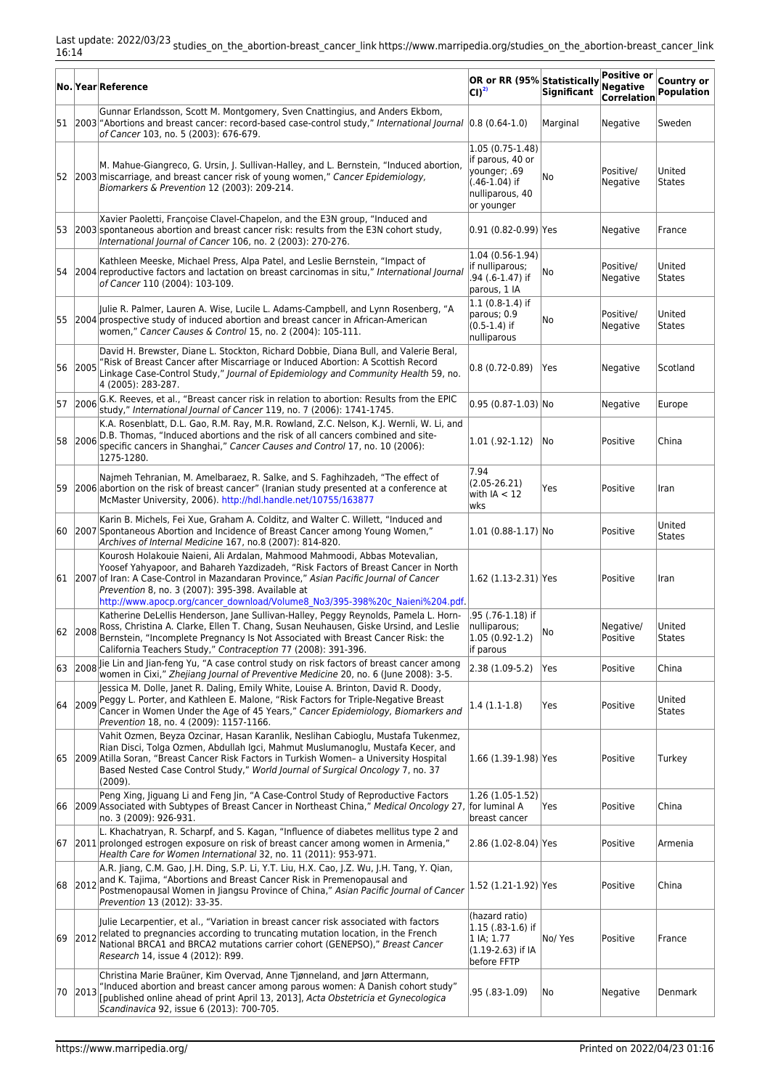|    |         | No. Year Reference                                                                                                                                                                                                                                                                                                                                                                               | OR or RR (95% Statistically<br>$ CI ^{2)}$                                                                  | <b>Significant</b> | Positive or<br>Negative<br><b>Correlation</b> | Country or<br><b>Population</b> |
|----|---------|--------------------------------------------------------------------------------------------------------------------------------------------------------------------------------------------------------------------------------------------------------------------------------------------------------------------------------------------------------------------------------------------------|-------------------------------------------------------------------------------------------------------------|--------------------|-----------------------------------------------|---------------------------------|
|    |         | Gunnar Erlandsson, Scott M. Montgomery, Sven Cnattingius, and Anders Ekbom,<br>[51  2003 "Abortions and breast cancer: record-based case-control study," International Journal (0.8 (0.64-1.0)<br>of Cancer 103, no. 5 (2003): 676-679.                                                                                                                                                          |                                                                                                             | Marginal           | Negative                                      | Sweden                          |
|    |         | M. Mahue-Giangreco, G. Ursin, J. Sullivan-Halley, and L. Bernstein, "Induced abortion,<br>52 2003 miscarriage, and breast cancer risk of young women," Cancer Epidemiology,<br>Biomarkers & Prevention 12 (2003): 209-214.                                                                                                                                                                       | $ 1.05(0.75-1.48) $<br>if parous, 40 or<br>younger; .69<br>$(.46-1.04)$ if<br>nulliparous, 40<br>or younger | No                 | Positive/<br>Negative                         | United<br><b>States</b>         |
|    |         | Xavier Paoletti, Françoise Clavel-Chapelon, and the E3N group, "Induced and<br>53 2003 spontaneous abortion and breast cancer risk: results from the E3N cohort study,<br>International Journal of Cancer 106, no. 2 (2003): 270-276.                                                                                                                                                            | 0.91 (0.82-0.99) Yes                                                                                        |                    | Negative                                      | France                          |
|    |         | Kathleen Meeske, Michael Press, Alpa Patel, and Leslie Bernstein, "Impact of<br>54 2004 reproductive factors and lactation on breast carcinomas in situ," International Journal<br>of Cancer 110 (2004): 103-109.                                                                                                                                                                                | $ 1.04(0.56-1.94) $<br>if nulliparous;<br>.94 (.6-1.47) if<br>parous, 1 IA                                  | No                 | Positive/<br>Negative                         | United<br><b>States</b>         |
| 55 |         | Julie R. Palmer, Lauren A. Wise, Lucile L. Adams-Campbell, and Lynn Rosenberg, "A<br>2004 prospective study of induced abortion and breast cancer in African-American<br>women," Cancer Causes & Control 15, no. 2 (2004): 105-111.                                                                                                                                                              | $ 1.1(0.8-1.4) $ if<br>parous; 0.9<br>$(0.5 - 1.4)$ if<br>nulliparous                                       | No                 | Positive/<br>Negative                         | United<br><b>States</b>         |
| 56 | 2005    | David H. Brewster, Diane L. Stockton, Richard Dobbie, Diana Bull, and Valerie Beral,<br>'Risk of Breast Cancer after Miscarriage or Induced Abortion: A Scottish Record<br>Linkage Case-Control Study," Journal of Epidemiology and Community Health 59, no.<br>4 (2005): 283-287.                                                                                                               | $0.8(0.72-0.89)$                                                                                            | Yes                | Negative                                      | Scotland                        |
| 57 | 2006    | G.K. Reeves, et al., "Breast cancer risk in relation to abortion: Results from the EPIC<br>study," International Journal of Cancer 119, no. 7 (2006): 1741-1745.                                                                                                                                                                                                                                 | $0.95$ (0.87-1.03) No                                                                                       |                    | Negative                                      | Europe                          |
| 58 | 2006    | K.A. Rosenblatt, D.L. Gao, R.M. Ray, M.R. Rowland, Z.C. Nelson, K.J. Wernli, W. Li, and<br>D.B. Thomas, "Induced abortions and the risk of all cancers combined and site-<br>specific cancers in Shanghai," Cancer Causes and Control 17, no. 10 (2006):<br>1275-1280.                                                                                                                           | $1.01(.92-1.12)$                                                                                            | No                 | Positive                                      | China                           |
|    |         | Najmeh Tehranian, M. Amelbaraez, R. Salke, and S. Faghihzadeh, "The effect of<br>59 2006 abortion on the risk of breast cancer" (Iranian study presented at a conference at<br>McMaster University, 2006). http://hdl.handle.net/10755/163877                                                                                                                                                    | 7.94<br>$(2.05 - 26.21)$<br>with $IA < 12$<br> wks                                                          | Yes                | Positive                                      | Iran                            |
| 60 |         | Karin B. Michels, Fei Xue, Graham A. Colditz, and Walter C. Willett, "Induced and<br>[2007] Spontaneous Abortion and Incidence of Breast Cancer among Young Women,"<br>Archives of Internal Medicine 167, no.8 (2007): 814-820.                                                                                                                                                                  | $1.01(0.88-1.17)$ No                                                                                        |                    | Positive                                      | United<br><b>States</b>         |
|    |         | Kourosh Holakouie Naieni, Ali Ardalan, Mahmood Mahmoodi, Abbas Motevalian,<br>Yoosef Yahyapoor, and Bahareh Yazdizadeh, "Risk Factors of Breast Cancer in North<br>61 2007 of Iran: A Case-Control in Mazandaran Province," Asian Pacific Journal of Cancer<br>Prevention 8, no. 3 (2007): 395-398. Available at<br>http://www.apocp.org/cancer_download/Volume8_No3/395-398%20c_Naieni%204.pdf. | [1.62 (1.13-2.31) Yes                                                                                       |                    | Positive                                      | Iran                            |
| 62 | 2008    | Katherine DeLellis Henderson, Jane Sullivan-Halley, Peggy Reynolds, Pamela L. Horn-<br>Ross, Christina A. Clarke, Ellen T. Chang, Susan Neuhausen, Giske Ursind, and Leslie<br>Bernstein, "Incomplete Pregnancy Is Not Associated with Breast Cancer Risk: the<br>California Teachers Study," Contraception 77 (2008): 391-396.                                                                  | .95 (.76-1.18) if<br>nulliparous;<br>$1.05(0.92-1.2)$<br>if parous                                          | No                 | Negative/<br>Positive                         | United<br>States                |
|    |         | 63 2008 lie Lin and Jian-feng Yu, "A case control study on risk factors of breast cancer among<br>women in Cixi," Zhejiang Journal of Preventive Medicine 20, no. 6 (June 2008): 3-5.                                                                                                                                                                                                            | $ 2.38(1.09-5.2) $                                                                                          | Yes                | Positive                                      | China                           |
|    | 64 2009 | Jessica M. Dolle, Janet R. Daling, Emily White, Louise A. Brinton, David R. Doody,<br>Peggy L. Porter, and Kathleen E. Malone, "Risk Factors for Triple-Negative Breast<br>Cancer in Women Under the Age of 45 Years," Cancer Epidemiology, Biomarkers and<br>Prevention 18, no. 4 (2009): 1157-1166.                                                                                            | $1.4(1.1-1.8)$                                                                                              | Yes                | Positive                                      | United<br><b>States</b>         |
|    |         | Vahit Ozmen, Beyza Ozcinar, Hasan Karanlik, Neslihan Cabioglu, Mustafa Tukenmez,<br>Rian Disci, Tolga Ozmen, Abdullah Igci, Mahmut Muslumanoglu, Mustafa Kecer, and<br>65 2009 Atilla Soran, "Breast Cancer Risk Factors in Turkish Women- a University Hospital<br>Based Nested Case Control Study," World Journal of Surgical Oncology 7, no. 37<br>(2009).                                    | 1.66 (1.39-1.98) Yes                                                                                        |                    | Positive                                      | Turkey                          |
| 66 |         | Peng Xing, Jiguang Li and Feng Jin, "A Case-Control Study of Reproductive Factors<br>2009 Associated with Subtypes of Breast Cancer in Northeast China," Medical Oncology 27, for luminal A<br>no. 3 (2009): 926-931.                                                                                                                                                                            | $1.26(1.05-1.52)$<br>breast cancer                                                                          | Yes                | Positive                                      | China                           |
| 67 |         | L. Khachatryan, R. Scharpf, and S. Kagan, "Influence of diabetes mellitus type 2 and<br>[2011] prolonged estrogen exposure on risk of breast cancer among women in Armenia,"<br>Health Care for Women International 32, no. 11 (2011): 953-971.                                                                                                                                                  | 2.86 (1.02-8.04) Yes                                                                                        |                    | Positive                                      | Armenia                         |
| 68 | 2012    | A.R. Jiang, C.M. Gao, J.H. Ding, S.P. Li, Y.T. Liu, H.X. Cao, J.Z. Wu, J.H. Tang, Y. Qian,<br>and K. Tajima, "Abortions and Breast Cancer Risk in Premenopausal and<br>Postmenopausal Women in Jiangsu Province of China," Asian Pacific Journal of Cancer<br>Prevention 13 (2012): 33-35.                                                                                                       | 1.52 (1.21-1.92) Yes                                                                                        |                    | Positive                                      | China                           |
| 69 | 2012    | Julie Lecarpentier, et al., "Variation in breast cancer risk associated with factors<br>related to pregnancies according to truncating mutation location, in the French<br>National BRCA1 and BRCA2 mutations carrier cohort (GENEPSO)," Breast Cancer<br>Research 14, issue 4 (2012): R99.                                                                                                      | (hazard ratio)<br>$ 1.15$ (.83-1.6) if<br> 1 IA; 1.77<br>(1.19-2.63) if IA<br>before FFTP                   | No/ Yes            | Positive                                      | France                          |
| 70 | 2013    | Christina Marie Braüner, Kim Overvad, Anne Tjønneland, and Jørn Attermann,<br>'Induced abortion and breast cancer among parous women: A Danish cohort study"<br>[published online ahead of print April 13, 2013], Acta Obstetricia et Gynecologica<br>Scandinavica 92, issue 6 (2013): 700-705.                                                                                                  | .95 (.83-1.09)                                                                                              | No                 | Negative                                      | Denmark                         |